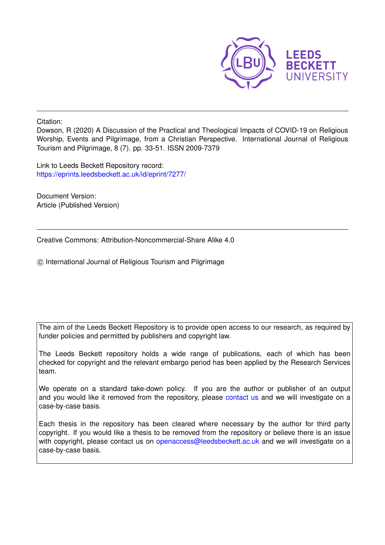

Citation:

Dowson, R (2020) A Discussion of the Practical and Theological Impacts of COVID-19 on Religious Worship, Events and Pilgrimage, from a Christian Perspective. International Journal of Religious Tourism and Pilgrimage, 8 (7). pp. 33-51. ISSN 2009-7379

Link to Leeds Beckett Repository record: <https://eprints.leedsbeckett.ac.uk/id/eprint/7277/>

Document Version: Article (Published Version)

Creative Commons: Attribution-Noncommercial-Share Alike 4.0

c International Journal of Religious Tourism and Pilgrimage

The aim of the Leeds Beckett Repository is to provide open access to our research, as required by funder policies and permitted by publishers and copyright law.

The Leeds Beckett repository holds a wide range of publications, each of which has been checked for copyright and the relevant embargo period has been applied by the Research Services team.

We operate on a standard take-down policy. If you are the author or publisher of an output and you would like it removed from the repository, please [contact us](mailto:openaccess@leedsbeckett.ac.uk) and we will investigate on a case-by-case basis.

Each thesis in the repository has been cleared where necessary by the author for third party copyright. If you would like a thesis to be removed from the repository or believe there is an issue with copyright, please contact us on [openaccess@leedsbeckett.ac.uk](mailto:openaccess@leedsbeckett.ac.uk) and we will investigate on a case-by-case basis.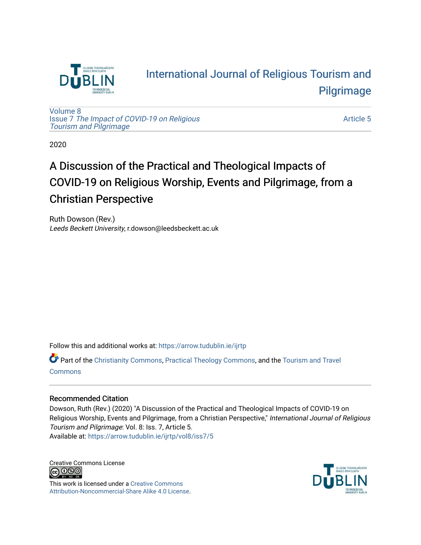

# [International Journal of Religious Tourism and](https://arrow.tudublin.ie/ijrtp)  [Pilgrimage](https://arrow.tudublin.ie/ijrtp)

[Volume 8](https://arrow.tudublin.ie/ijrtp/vol8) Issue 7 [The Impact of COVID-19 on Religious](https://arrow.tudublin.ie/ijrtp/vol8/iss7) [Tourism and Pilgrimage](https://arrow.tudublin.ie/ijrtp/vol8/iss7)

[Article 5](https://arrow.tudublin.ie/ijrtp/vol8/iss7/5) 

2020

# A Discussion of the Practical and Theological Impacts of COVID-19 on Religious Worship, Events and Pilgrimage, from a Christian Perspective

Ruth Dowson (Rev.) Leeds Beckett University, r.dowson@leedsbeckett.ac.uk

Follow this and additional works at: [https://arrow.tudublin.ie/ijrtp](https://arrow.tudublin.ie/ijrtp?utm_source=arrow.tudublin.ie%2Fijrtp%2Fvol8%2Fiss7%2F5&utm_medium=PDF&utm_campaign=PDFCoverPages)

Part of the [Christianity Commons,](http://network.bepress.com/hgg/discipline/1181?utm_source=arrow.tudublin.ie%2Fijrtp%2Fvol8%2Fiss7%2F5&utm_medium=PDF&utm_campaign=PDFCoverPages) [Practical Theology Commons](http://network.bepress.com/hgg/discipline/1186?utm_source=arrow.tudublin.ie%2Fijrtp%2Fvol8%2Fiss7%2F5&utm_medium=PDF&utm_campaign=PDFCoverPages), and the [Tourism and Travel](http://network.bepress.com/hgg/discipline/1082?utm_source=arrow.tudublin.ie%2Fijrtp%2Fvol8%2Fiss7%2F5&utm_medium=PDF&utm_campaign=PDFCoverPages)  [Commons](http://network.bepress.com/hgg/discipline/1082?utm_source=arrow.tudublin.ie%2Fijrtp%2Fvol8%2Fiss7%2F5&utm_medium=PDF&utm_campaign=PDFCoverPages)

#### Recommended Citation

Dowson, Ruth (Rev.) (2020) "A Discussion of the Practical and Theological Impacts of COVID-19 on Religious Worship, Events and Pilgrimage, from a Christian Perspective," International Journal of Religious Tourism and Pilgrimage: Vol. 8: Iss. 7, Article 5. Available at: [https://arrow.tudublin.ie/ijrtp/vol8/iss7/5](https://arrow.tudublin.ie/ijrtp/vol8/iss7/5?utm_source=arrow.tudublin.ie%2Fijrtp%2Fvol8%2Fiss7%2F5&utm_medium=PDF&utm_campaign=PDFCoverPages)

Creative Commons License<br>  $\bigcirc$  000

This work is licensed under a [Creative Commons](https://creativecommons.org/licenses/by-nc-sa/4.0/) [Attribution-Noncommercial-Share Alike 4.0 License](https://creativecommons.org/licenses/by-nc-sa/4.0/).

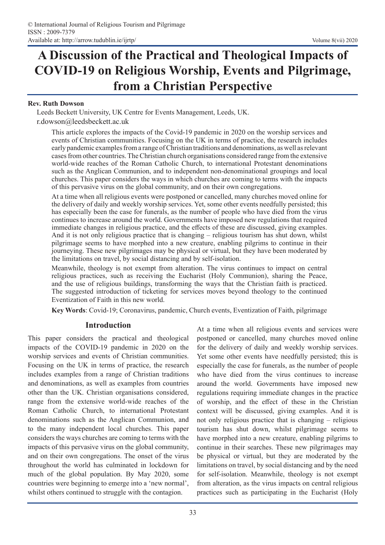# **A Discussion of the Practical and Theological Impacts of COVID-19 on Religious Worship, Events and Pilgrimage, from a Christian Perspective**

#### **Rev. Ruth Dowson**

Leeds Beckett University, UK Centre for Events Management, Leeds, UK. r.dowson@leedsbeckett.ac.uk

This article explores the impacts of the Covid-19 pandemic in 2020 on the worship services and events of Christian communities. Focusing on the UK in terms of practice, the research includes early pandemic examples from a range of Christian traditions and denominations, as well as relevant cases from other countries. The Christian church organisations considered range from the extensive world-wide reaches of the Roman Catholic Church, to international Protestant denominations such as the Anglican Communion, and to independent non-denominational groupings and local churches. This paper considers the ways in which churches are coming to terms with the impacts of this pervasive virus on the global community, and on their own congregations.

At a time when all religious events were postponed or cancelled, many churches moved online for the delivery of daily and weekly worship services. Yet, some other events needfully persisted; this has especially been the case for funerals, as the number of people who have died from the virus continues to increase around the world. Governments have imposed new regulations that required immediate changes in religious practice, and the effects of these are discussed, giving examples. And it is not only religious practice that is changing – religious tourism has shut down, whilst pilgrimage seems to have morphed into a new creature, enabling pilgrims to continue in their journeying. These new pilgrimages may be physical or virtual, but they have been moderated by the limitations on travel, by social distancing and by self-isolation.

Meanwhile, theology is not exempt from alteration. The virus continues to impact on central religious practices, such as receiving the Eucharist (Holy Communion), sharing the Peace, and the use of religious buildings, transforming the ways that the Christian faith is practiced. The suggested introduction of ticketing for services moves beyond theology to the continued Eventization of Faith in this new world.

**Key Words**: Covid-19; Coronavirus, pandemic, Church events, Eventization of Faith, pilgrimage

### **Introduction**

This paper considers the practical and theological impacts of the COVID-19 pandemic in 2020 on the worship services and events of Christian communities. Focusing on the UK in terms of practice, the research includes examples from a range of Christian traditions and denominations, as well as examples from countries other than the UK. Christian organisations considered, range from the extensive world-wide reaches of the Roman Catholic Church, to international Protestant denominations such as the Anglican Communion, and to the many independent local churches. This paper considers the ways churches are coming to terms with the impacts of this pervasive virus on the global community, and on their own congregations. The onset of the virus throughout the world has culminated in lockdown for much of the global population. By May 2020, some countries were beginning to emerge into a 'new normal', whilst others continued to struggle with the contagion.

At a time when all religious events and services were postponed or cancelled, many churches moved online for the delivery of daily and weekly worship services. Yet some other events have needfully persisted; this is especially the case for funerals, as the number of people who have died from the virus continues to increase around the world. Governments have imposed new regulations requiring immediate changes in the practice of worship, and the effect of these in the Christian context will be discussed, giving examples. And it is not only religious practice that is changing – religious tourism has shut down, whilst pilgrimage seems to have morphed into a new creature, enabling pilgrims to continue in their searches. These new pilgrimages may be physical or virtual, but they are moderated by the limitations on travel, by social distancing and by the need for self-isolation. Meanwhile, theology is not exempt from alteration, as the virus impacts on central religious practices such as participating in the Eucharist (Holy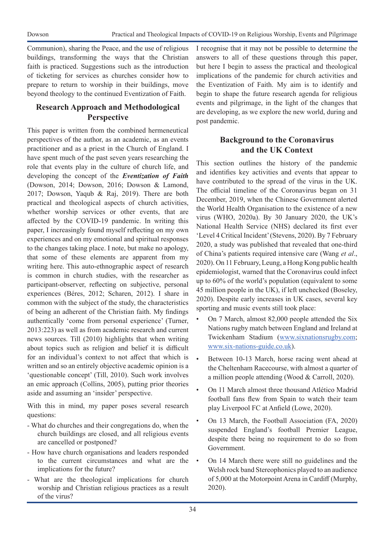Communion), sharing the Peace, and the use of religious buildings, transforming the ways that the Christian faith is practiced. Suggestions such as the introduction of ticketing for services as churches consider how to prepare to return to worship in their buildings, move beyond theology to the continued Eventization of Faith.

# **Research Approach and Methodological Perspective**

This paper is written from the combined hermeneutical perspectives of the author, as an academic, as an events practitioner and as a priest in the Church of England. I have spent much of the past seven years researching the role that events play in the culture of church life, and developing the concept of the *Eventization of Faith*  (Dowson, 2014; Dowson, 2016; Dowson & Lamond, 2017; Dowson, Yaqub & Raj, 2019). There are both practical and theological aspects of church activities, whether worship services or other events, that are affected by the COVID-19 pandemic. In writing this paper, I increasingly found myself reflecting on my own experiences and on my emotional and spiritual responses to the changes taking place. I note, but make no apology, that some of these elements are apparent from my writing here. This auto-ethnographic aspect of research is common in church studies, with the researcher as participant-observer, reflecting on subjective, personal experiences (Béres, 2012; Scharen, 2012). I share in common with the subject of the study, the characteristics of being an adherent of the Christian faith. My findings authentically 'come from personal experience' (Turner, 2013:223) as well as from academic research and current news sources. Till (2010) highlights that when writing about topics such as religion and belief it is difficult for an individual's context to not affect that which is written and so an entirely objective academic opinion is a 'questionable concept' (Till, 2010). Such work involves an emic approach (Collins, 2005), putting prior theories aside and assuming an 'insider' perspective.

With this in mind, my paper poses several research questions:

- What do churches and their congregations do, when the church buildings are closed, and all religious events are cancelled or postponed?
- How have church organisations and leaders responded to the current circumstances and what are the implications for the future?
- What are the theological implications for church worship and Christian religious practices as a result of the virus?

I recognise that it may not be possible to determine the answers to all of these questions through this paper, but here I begin to assess the practical and theological implications of the pandemic for church activities and the Eventization of Faith. My aim is to identify and begin to shape the future research agenda for religious events and pilgrimage, in the light of the changes that are developing, as we explore the new world, during and post pandemic.

# **Background to the Coronavirus and the UK Context**

This section outlines the history of the pandemic and identifies key activities and events that appear to have contributed to the spread of the virus in the UK. The official timeline of the Coronavirus began on 31 December, 2019, when the Chinese Government alerted the World Health Organisation to the existence of a new virus (WHO, 2020a). By 30 January 2020, the UK's National Health Service (NHS) declared its first ever 'Level 4 Critical Incident' (Stevens, 2020). By 7 February 2020, a study was published that revealed that one-third of China's patients required intensive care (Wang *et al*., 2020). On 11 February, Leung, a Hong Kong public health epidemiologist, warned that the Coronavirus could infect up to 60% of the world's population (equivalent to some 45 million people in the UK), if left unchecked (Boseley, 2020). Despite early increases in UK cases, several key sporting and music events still took place:

- On 7 March, almost 82,000 people attended the Six Nations rugby match between England and Ireland at Twickenham Stadium (www.sixnationsrugby.com; www.six-nations-guide.co.uk).
- Between 10-13 March, horse racing went ahead at the Cheltenham Racecourse, with almost a quarter of a million people attending (Wood & Carroll, 2020).
- On 11 March almost three thousand Atlético Madrid football fans flew from Spain to watch their team play Liverpool FC at Anfield (Lowe, 2020).
- On 13 March, the Football Association (FA, 2020) suspended England's football Premier League, despite there being no requirement to do so from Government.
- On 14 March there were still no guidelines and the Welsh rock band Stereophonics played to an audience of 5,000 at the Motorpoint Arena in Cardiff (Murphy, 2020).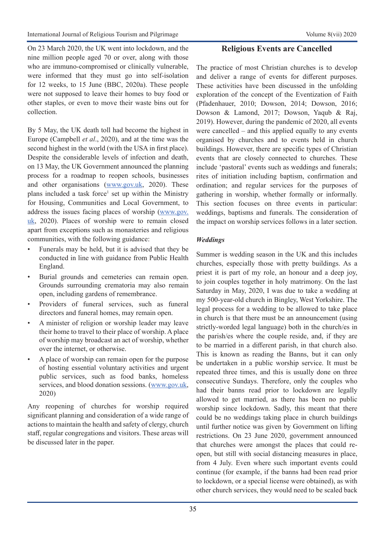On 23 March 2020, the UK went into lockdown, and the nine million people aged 70 or over, along with those who are immuno-compromised or clinically vulnerable, were informed that they must go into self-isolation for 12 weeks, to 15 June (BBC, 2020a). These people were not supposed to leave their homes to buy food or other staples, or even to move their waste bins out for collection.

By 5 May, the UK death toll had become the highest in Europe (Campbell *et al*., 2020), and at the time was the second highest in the world (with the USA in first place). Despite the considerable levels of infection and death, on 13 May, the UK Government announced the planning process for a roadmap to reopen schools, businesses and other organisations (www.gov.uk, 2020). These plans included a task force<sup>1</sup> set up within the Ministry for Housing, Communities and Local Government, to address the issues facing places of worship (www.gov. uk, 2020). Places of worship were to remain closed apart from exceptions such as monasteries and religious communities, with the following guidance:

- Funerals may be held, but it is advised that they be conducted in line with guidance from Public Health England.
- Burial grounds and cemeteries can remain open. Grounds surrounding crematoria may also remain open, including gardens of remembrance.
- Providers of funeral services, such as funeral directors and funeral homes, may remain open.
- A minister of religion or worship leader may leave their home to travel to their place of worship. A place of worship may broadcast an act of worship, whether over the internet, or otherwise.
- A place of worship can remain open for the purpose of hosting essential voluntary activities and urgent public services, such as food banks, homeless services, and blood donation sessions. (www.gov.uk, 2020)

Any reopening of churches for worship required significant planning and consideration of a wide range of actions to maintain the health and safety of clergy, church staff, regular congregations and visitors. These areas will be discussed later in the paper.

## **Religious Events are Cancelled**

The practice of most Christian churches is to develop and deliver a range of events for different purposes. These activities have been discussed in the unfolding exploration of the concept of the Eventization of Faith (Pfadenhauer, 2010; Dowson, 2014; Dowson, 2016; Dowson & Lamond, 2017; Dowson, Yaqub & Raj, 2019). However, during the pandemic of 2020, all events were cancelled – and this applied equally to any events organised by churches and to events held in church buildings. However, there are specific types of Christian events that are closely connected to churches. These include 'pastoral' events such as weddings and funerals; rites of initiation including baptism, confirmation and ordination; and regular services for the purposes of gathering in worship, whether formally or informally. This section focuses on three events in particular: weddings, baptisms and funerals. The consideration of the impact on worship services follows in a later section.

## *Weddings*

Summer is wedding season in the UK and this includes churches, especially those with pretty buildings. As a priest it is part of my role, an honour and a deep joy, to join couples together in holy matrimony. On the last Saturday in May, 2020, I was due to take a wedding at my 500-year-old church in Bingley, West Yorkshire. The legal process for a wedding to be allowed to take place in church is that there must be an announcement (using strictly-worded legal language) both in the church/es in the parish/es where the couple reside, and, if they are to be married in a different parish, in that church also. This is known as reading the Banns, but it can only be undertaken in a public worship service. It must be repeated three times, and this is usually done on three consecutive Sundays. Therefore, only the couples who had their banns read prior to lockdown are legally allowed to get married, as there has been no public worship since lockdown. Sadly, this meant that there could be no weddings taking place in church buildings until further notice was given by Government on lifting restrictions. On 23 June 2020, government announced that churches were amongst the places that could reopen, but still with social distancing measures in place, from 4 July. Even where such important events could continue (for example, if the banns had been read prior to lockdown, or a special license were obtained), as with other church services, they would need to be scaled back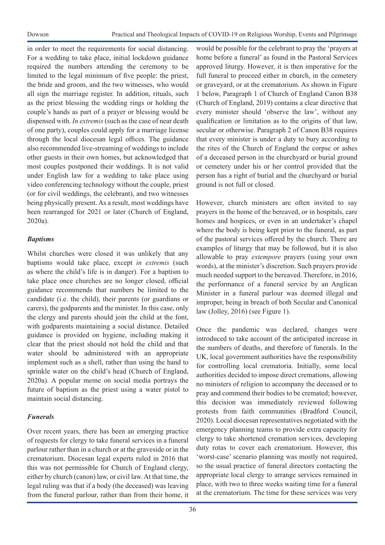in order to meet the requirements for social distancing. For a wedding to take place, initial lockdown guidance required the numbers attending the ceremony to be limited to the legal minimum of five people: the priest, the bride and groom, and the two witnesses, who would all sign the marriage register. In addition, rituals, such as the priest blessing the wedding rings or holding the couple's hands as part of a prayer or blessing would be dispensed with. *In extremis* (such as the case of near death of one party), couples could apply for a marriage license through the local diocesan legal offices. The guidance also recommended live-streaming of weddings to include other guests in their own homes, but acknowledged that most couples postponed their weddings. It is not valid under English law for a wedding to take place using video conferencing technology without the couple, priest (or for civil weddings, the celebrant), and two witnesses being physically present. As a result, most weddings have been rearranged for 2021 or later (Church of England, 2020a).

### *Baptisms*

Whilst churches were closed it was unlikely that any baptisms would take place, except *in extremis* (such as where the child's life is in danger). For a baptism to take place once churches are no longer closed, official guidance recommends that numbers be limited to the candidate (i.e. the child), their parents (or guardians or carers), the godparents and the minister. In this case, only the clergy and parents should join the child at the font, with godparents maintaining a social distance. Detailed guidance is provided on hygiene, including making it clear that the priest should not hold the child and that water should be administered with an appropriate implement such as a shell, rather than using the hand to sprinkle water on the child's head (Church of England, 2020a). A popular meme on social media portrays the future of baptism as the priest using a water pistol to maintain social distancing.

## *Funerals*

Over recent years, there has been an emerging practice of requests for clergy to take funeral services in a funeral parlour rather than in a church or at the graveside or in the crematorium. Diocesan legal experts ruled in 2016 that this was not permissible for Church of England clergy, either by church (canon) law, or civil law. At that time, the legal ruling was that if a body (the deceased) was leaving from the funeral parlour, rather than from their home, it would be possible for the celebrant to pray the 'prayers at home before a funeral' as found in the Pastoral Services approved liturgy. However, it is then imperative for the full funeral to proceed either in church, in the cemetery or graveyard, or at the crematorium. As shown in Figure 1 below, Paragraph 1 of Church of England Canon B38 (Church of England, 2019) contains a clear directive that every minister should 'observe the law', without any qualification or limitation as to the origins of that law, secular or otherwise. Paragraph 2 of Canon B38 requires that every minister is under a duty to bury according to the rites of the Church of England the corpse or ashes of a deceased person in the churchyard or burial ground or cemetery under his or her control provided that the person has a right of burial and the churchyard or burial ground is not full or closed.

However, church ministers are often invited to say prayers in the home of the bereaved, or in hospitals, care homes and hospices, or even in an undertaker's chapel where the body is being kept prior to the funeral, as part of the pastoral services offered by the church. There are examples of liturgy that may be followed, but it is also allowable to pray *extempore* prayers (using your own words), at the minister's discretion. Such prayers provide much needed support to the bereaved. Therefore, in 2016, the performance of a funeral service by an Anglican Minister in a funeral parlour was deemed illegal and improper, being in breach of both Secular and Canonical law (Jolley, 2016) (see Figure 1).

Once the pandemic was declared, changes were introduced to take account of the anticipated increase in the numbers of deaths, and therefore of funerals. In the UK, local government authorities have the responsibility for controlling local crematoria. Initially, some local authorities decided to impose direct cremations, allowing no ministers of religion to accompany the deceased or to pray and commend their bodies to be cremated; however, this decision was immediately reviewed following protests from faith communities (Bradford Council, 2020). Local diocesan representatives negotiated with the emergency planning teams to provide extra capacity for clergy to take shortened cremation services, developing duty rotas to cover each crematorium. However, this 'worst-case' scenario planning was mostly not required, so the usual practice of funeral directors contacting the appropriate local clergy to arrange services remained in place, with two to three weeks waiting time for a funeral at the crematorium. The time for these services was very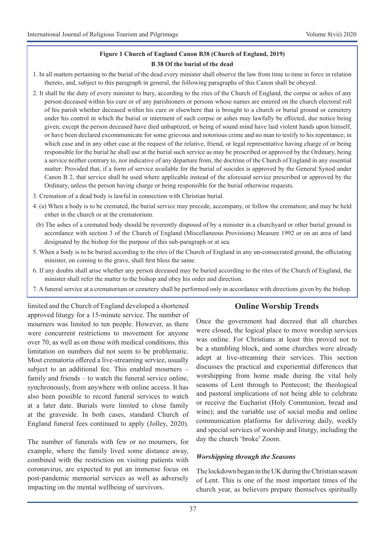# **Figure 1 Church of England Canon B38 (Church of England, 2019)**

### **B 38 Of the burial of the dead**

- 1. In all matters pertaining to the burial of the dead every minister shall observe the law from time to time in force in relation thereto, and, subject to this paragraph in general, the following paragraphs of this Canon shall be obeyed.
- 2. It shall be the duty of every minister to bury, according to the rites of the Church of England, the corpse or ashes of any person deceased within his cure or of any parishioners or persons whose names are entered on the church electoral roll of his parish whether deceased within his cure or elsewhere that is brought to a church or burial ground or cemetery under his control in which the burial or interment of such corpse or ashes may lawfully be effected, due notice being given; except the person deceased have died unbaptized, or being of sound mind have laid violent hands upon himself, or have been declared excommunicate for some grievous and notorious crime and no man to testify to his repentance; in which case and in any other case at the request of the relative, friend, or legal representative having charge of or being responsible for the burial he shall use at the burial such service as may be prescribed or approved by the Ordinary, being a service neither contrary to, nor indicative of any departure from, the doctrine of the Church of England in any essential matter: Provided that, if a form of service available for the burial of suicides is approved by the General Synod under Canon B 2, that service shall be used where applicable instead of the aforesaid service prescribed or approved by the Ordinary, unless the person having charge or being responsible for the burial otherwise requests.
- 3. Cremation of a dead body is lawful in connection with Christian burial.
- 4. (a) When a body is to be cremated, the burial service may precede, accompany, or follow the cremation; and may be held either in the church or at the crematorium.
- (b) The ashes of a cremated body should be reverently disposed of by a minister in a churchyard or other burial ground in accordance with section 3 of the Church of England (Miscellaneous Provisions) Measure 1992 or on an area of land designated by the bishop for the purpose of this sub-paragraph or at sea.
- 5. When a body is to be buried according to the rites of the Church of England in any un-consecrated ground, the officiating minister, on coming to the grave, shall first bless the same.
- 6. If any doubts shall arise whether any person deceased may be buried according to the rites of the Church of England, the minister shall refer the matter to the bishop and obey his order and direction.
- 7. A funeral service at a crematorium or cemetery shall be performed only in accordance with directions given by the bishop.

limited and the Church of England developed a shortened approved liturgy for a 15-minute service. The number of mourners was limited to ten people. However, as there were concurrent restrictions to movement for anyone over 70, as well as on those with medical conditions, this limitation on numbers did not seem to be problematic. Most crematoria offered a live-streaming service, usually subject to an additional fee. This enabled mourners – family and friends – to watch the funeral service online, synchronously, from anywhere with online access. It has also been possible to record funeral services to watch at a later date. Burials were limited to close family at the graveside. In both cases, standard Church of England funeral fees continued to apply (Jolley, 2020).

The number of funerals with few or no mourners, for example, where the family lived some distance away, combined with the restriction on visiting patients with coronavirus, are expected to put an immense focus on post-pandemic memorial services as well as adversely impacting on the mental wellbeing of survivors.

# **Online Worship Trends**

Once the government had decreed that all churches were closed, the logical place to move worship services was online. For Christians at least this proved not to be a stumbling block, and some churches were already adept at live-streaming their services. This section discusses the practical and experiential differences that worshipping from home made during the vital holy seasons of Lent through to Pentecost; the theological and pastoral implications of not being able to celebrate or receive the Eucharist (Holy Communion, bread and wine); and the variable use of social media and online communication platforms for delivering daily, weekly and special services of worship and liturgy, including the day the church 'broke' Zoom.

## *Worshipping through the Seasons*

The lockdown began in the UK during the Christian season of Lent. This is one of the most important times of the church year, as believers prepare themselves spiritually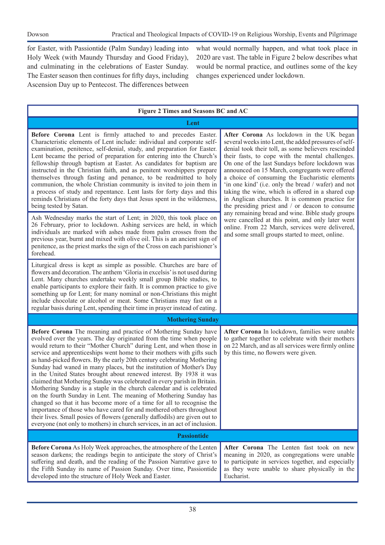for Easter, with Passiontide (Palm Sunday) leading into Holy Week (with Maundy Thursday and Good Friday), and culminating in the celebrations of Easter Sunday. The Easter season then continues for fifty days, including Ascension Day up to Pentecost. The differences between what would normally happen, and what took place in 2020 are vast. The table in Figure 2 below describes what would be normal practice, and outlines some of the key changes experienced under lockdown.

| Figure 2 Times and Seasons BC and AC                                                                                                                                                                                                                                                                                                                                                                                                                                                                                                                                                                                                                                                                                                                                                                                                                                                                                                                                                                                                                         |                                                                                                                                                                                                                                                                                                                                                                                                                                                                                                                                                                                                                                                                                                                                                                                                     |  |  |  |  |  |
|--------------------------------------------------------------------------------------------------------------------------------------------------------------------------------------------------------------------------------------------------------------------------------------------------------------------------------------------------------------------------------------------------------------------------------------------------------------------------------------------------------------------------------------------------------------------------------------------------------------------------------------------------------------------------------------------------------------------------------------------------------------------------------------------------------------------------------------------------------------------------------------------------------------------------------------------------------------------------------------------------------------------------------------------------------------|-----------------------------------------------------------------------------------------------------------------------------------------------------------------------------------------------------------------------------------------------------------------------------------------------------------------------------------------------------------------------------------------------------------------------------------------------------------------------------------------------------------------------------------------------------------------------------------------------------------------------------------------------------------------------------------------------------------------------------------------------------------------------------------------------------|--|--|--|--|--|
| Lent                                                                                                                                                                                                                                                                                                                                                                                                                                                                                                                                                                                                                                                                                                                                                                                                                                                                                                                                                                                                                                                         |                                                                                                                                                                                                                                                                                                                                                                                                                                                                                                                                                                                                                                                                                                                                                                                                     |  |  |  |  |  |
| Before Corona Lent is firmly attached to and precedes Easter.<br>Characteristic elements of Lent include: individual and corporate self-<br>examination, penitence, self-denial, study, and preparation for Easter.<br>Lent became the period of preparation for entering into the Church's<br>fellowship through baptism at Easter. As candidates for baptism are<br>instructed in the Christian faith, and as penitent worshippers prepare<br>themselves through fasting and penance, to be readmitted to holy<br>communion, the whole Christian community is invited to join them in<br>a process of study and repentance. Lent lasts for forty days and this<br>reminds Christians of the forty days that Jesus spent in the wilderness,<br>being tested by Satan.                                                                                                                                                                                                                                                                                       | After Corona As lockdown in the UK began<br>several weeks into Lent, the added pressures of self-<br>denial took their toll, as some believers rescinded<br>their fasts, to cope with the mental challenges.<br>On one of the last Sundays before lockdown was<br>announced on 15 March, congregants were offered<br>a choice of consuming the Eucharistic elements<br>'in one kind' (i.e. only the bread / wafer) and not<br>taking the wine, which is offered in a shared cup<br>in Anglican churches. It is common practice for<br>the presiding priest and / or deacon to consume<br>any remaining bread and wine. Bible study groups<br>were cancelled at this point, and only later went<br>online. From 22 March, services were delivered,<br>and some small groups started to meet, online. |  |  |  |  |  |
| Ash Wednesday marks the start of Lent; in 2020, this took place on<br>26 February, prior to lockdown. Ashing services are held, in which<br>individuals are marked with ashes made from palm crosses from the<br>previous year, burnt and mixed with olive oil. This is an ancient sign of<br>penitence, as the priest marks the sign of the Cross on each parishioner's<br>forehead.                                                                                                                                                                                                                                                                                                                                                                                                                                                                                                                                                                                                                                                                        |                                                                                                                                                                                                                                                                                                                                                                                                                                                                                                                                                                                                                                                                                                                                                                                                     |  |  |  |  |  |
| Liturgical dress is kept as simple as possible. Churches are bare of<br>flowers and decoration. The anthem 'Gloria in excelsis' is not used during<br>Lent. Many churches undertake weekly small group Bible studies, to<br>enable participants to explore their faith. It is common practice to give<br>something up for Lent; for many nominal or non-Christians this might<br>include chocolate or alcohol or meat. Some Christians may fast on a<br>regular basis during Lent, spending their time in prayer instead of eating.                                                                                                                                                                                                                                                                                                                                                                                                                                                                                                                          |                                                                                                                                                                                                                                                                                                                                                                                                                                                                                                                                                                                                                                                                                                                                                                                                     |  |  |  |  |  |
| <b>Mothering Sunday</b>                                                                                                                                                                                                                                                                                                                                                                                                                                                                                                                                                                                                                                                                                                                                                                                                                                                                                                                                                                                                                                      |                                                                                                                                                                                                                                                                                                                                                                                                                                                                                                                                                                                                                                                                                                                                                                                                     |  |  |  |  |  |
| Before Corona The meaning and practice of Mothering Sunday have<br>evolved over the years. The day originated from the time when people<br>would return to their "Mother Church" during Lent, and when those in<br>service and apprenticeships went home to their mothers with gifts such<br>as hand-picked flowers. By the early 20th century celebrating Mothering<br>Sunday had waned in many places, but the institution of Mother's Day<br>in the United States brought about renewed interest. By 1938 it was<br>claimed that Mothering Sunday was celebrated in every parish in Britain.<br>Mothering Sunday is a staple in the church calendar and is celebrated<br>on the fourth Sunday in Lent. The meaning of Mothering Sunday has<br>changed so that it has become more of a time for all to recognise the<br>importance of those who have cared for and mothered others throughout<br>their lives. Small posies of flowers (generally daffodils) are given out to<br>everyone (not only to mothers) in church services, in an act of inclusion. | After Corona In lockdown, families were unable<br>to gather together to celebrate with their mothers<br>on 22 March, and as all services were firmly online<br>by this time, no flowers were given.                                                                                                                                                                                                                                                                                                                                                                                                                                                                                                                                                                                                 |  |  |  |  |  |
| <b>Passiontide</b>                                                                                                                                                                                                                                                                                                                                                                                                                                                                                                                                                                                                                                                                                                                                                                                                                                                                                                                                                                                                                                           |                                                                                                                                                                                                                                                                                                                                                                                                                                                                                                                                                                                                                                                                                                                                                                                                     |  |  |  |  |  |
| Before Corona As Holy Week approaches, the atmosphere of the Lenten<br>season darkens; the readings begin to anticipate the story of Christ's<br>suffering and death, and the reading of the Passion Narrative gave to<br>the Fifth Sunday its name of Passion Sunday. Over time, Passiontide<br>developed into the structure of Holy Week and Easter.                                                                                                                                                                                                                                                                                                                                                                                                                                                                                                                                                                                                                                                                                                       | After Corona The Lenten fast took on new<br>meaning in 2020, as congregations were unable<br>to participate in services together, and especially<br>as they were unable to share physically in the<br>Eucharist.                                                                                                                                                                                                                                                                                                                                                                                                                                                                                                                                                                                    |  |  |  |  |  |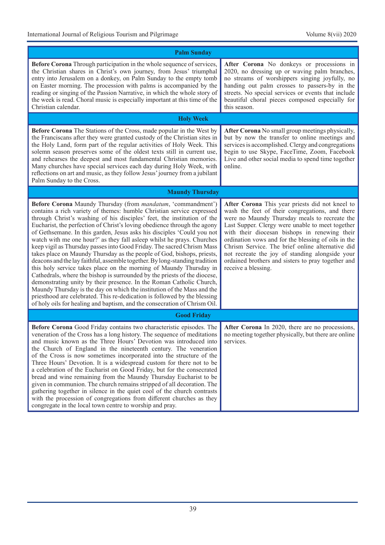| <b>Palm Sunday</b>                                                                                                                                                                                                                                                                                                                                                                                                                                                                                                                                                                                                                                                                                                                                                                                                                                                                                                                                                                                                                                                                                                                                  |                                                                                                                                                                                                                                                                                                                                                                                                                                                                                                     |  |  |  |  |  |  |
|-----------------------------------------------------------------------------------------------------------------------------------------------------------------------------------------------------------------------------------------------------------------------------------------------------------------------------------------------------------------------------------------------------------------------------------------------------------------------------------------------------------------------------------------------------------------------------------------------------------------------------------------------------------------------------------------------------------------------------------------------------------------------------------------------------------------------------------------------------------------------------------------------------------------------------------------------------------------------------------------------------------------------------------------------------------------------------------------------------------------------------------------------------|-----------------------------------------------------------------------------------------------------------------------------------------------------------------------------------------------------------------------------------------------------------------------------------------------------------------------------------------------------------------------------------------------------------------------------------------------------------------------------------------------------|--|--|--|--|--|--|
| Before Corona Through participation in the whole sequence of services,<br>the Christian shares in Christ's own journey, from Jesus' triumphal<br>entry into Jerusalem on a donkey, on Palm Sunday to the empty tomb<br>on Easter morning. The procession with palms is accompanied by the<br>reading or singing of the Passion Narrative, in which the whole story of<br>the week is read. Choral music is especially important at this time of the<br>Christian calendar.                                                                                                                                                                                                                                                                                                                                                                                                                                                                                                                                                                                                                                                                          | After Corona No donkeys or processions in<br>2020, no dressing up or waving palm branches,<br>no streams of worshippers singing joyfully, no<br>handing out palm crosses to passers-by in the<br>streets. No special services or events that include<br>beautiful choral pieces composed especially for<br>this season.                                                                                                                                                                             |  |  |  |  |  |  |
| <b>Holy Week</b>                                                                                                                                                                                                                                                                                                                                                                                                                                                                                                                                                                                                                                                                                                                                                                                                                                                                                                                                                                                                                                                                                                                                    |                                                                                                                                                                                                                                                                                                                                                                                                                                                                                                     |  |  |  |  |  |  |
| Before Corona The Stations of the Cross, made popular in the West by<br>the Franciscans after they were granted custody of the Christian sites in<br>the Holy Land, form part of the regular activities of Holy Week. This<br>solemn season preserves some of the oldest texts still in current use,<br>and rehearses the deepest and most fundamental Christian memories.<br>Many churches have special services each day during Holy Week, with<br>reflections on art and music, as they follow Jesus' journey from a jubilant<br>Palm Sunday to the Cross.                                                                                                                                                                                                                                                                                                                                                                                                                                                                                                                                                                                       | After Corona No small group meetings physically,<br>but by now the transfer to online meetings and<br>services is accomplished. Clergy and congregations<br>begin to use Skype, FaceTime, Zoom, Facebook<br>Live and other social media to spend time together<br>online.                                                                                                                                                                                                                           |  |  |  |  |  |  |
| <b>Maundy Thursday</b>                                                                                                                                                                                                                                                                                                                                                                                                                                                                                                                                                                                                                                                                                                                                                                                                                                                                                                                                                                                                                                                                                                                              |                                                                                                                                                                                                                                                                                                                                                                                                                                                                                                     |  |  |  |  |  |  |
| Before Corona Maundy Thursday (from mandatum, 'commandment')<br>contains a rich variety of themes: humble Christian service expressed<br>through Christ's washing of his disciples' feet, the institution of the<br>Eucharist, the perfection of Christ's loving obedience through the agony<br>of Gethsemane. In this garden, Jesus asks his disciples 'Could you not<br>watch with me one hour?' as they fall asleep whilst he prays. Churches<br>keep vigil as Thursday passes into Good Friday. The sacred Chrism Mass<br>takes place on Maundy Thursday as the people of God, bishops, priests,<br>deacons and the lay faithful, assemble together. By long-standing tradition<br>this holy service takes place on the morning of Maundy Thursday in<br>Cathedrals, where the bishop is surrounded by the priests of the diocese,<br>demonstrating unity by their presence. In the Roman Catholic Church,<br>Maundy Thursday is the day on which the institution of the Mass and the<br>priesthood are celebrated. This re-dedication is followed by the blessing<br>of holy oils for healing and baptism, and the consecration of Chrism Oil. | After Corona This year priests did not kneel to<br>wash the feet of their congregations, and there<br>were no Maundy Thursday meals to recreate the<br>Last Supper. Clergy were unable to meet together<br>with their diocesan bishops in renewing their<br>ordination vows and for the blessing of oils in the<br>Chrism Service. The brief online alternative did<br>not recreate the joy of standing alongside your<br>ordained brothers and sisters to pray together and<br>receive a blessing. |  |  |  |  |  |  |
| <b>Good Friday</b>                                                                                                                                                                                                                                                                                                                                                                                                                                                                                                                                                                                                                                                                                                                                                                                                                                                                                                                                                                                                                                                                                                                                  |                                                                                                                                                                                                                                                                                                                                                                                                                                                                                                     |  |  |  |  |  |  |
| Before Corona Good Friday contains two characteristic episodes. The<br>veneration of the Cross has a long history. The sequence of meditations<br>and music known as the Three Hours' Devotion was introduced into<br>the Church of England in the nineteenth century. The veneration<br>of the Cross is now sometimes incorporated into the structure of the<br>Three Hours' Devotion. It is a widespread custom for there not to be<br>a celebration of the Eucharist on Good Friday, but for the consecrated<br>bread and wine remaining from the Maundy Thursday Eucharist to be<br>given in communion. The church remains stripped of all decoration. The<br>gathering together in silence in the quiet cool of the church contrasts<br>with the procession of congregations from different churches as they<br>congregate in the local town centre to worship and pray.                                                                                                                                                                                                                                                                       | After Corona In 2020, there are no processions,<br>no meeting together physically, but there are online<br>services.                                                                                                                                                                                                                                                                                                                                                                                |  |  |  |  |  |  |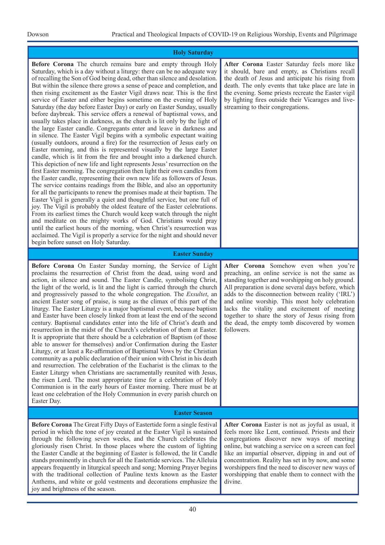| <b>Holy Saturday</b>                                                                                                                                                                                                                                                                                                                                                                                                                                                                                                                                                                                                                                                                                                                                                                                                                                                                                                                                                                                                                                                                                                                                                                                                                                                                                                                                                                                                                                                                                                                                                                                                                                                                                                                                                                                                                                                                                                                                                            |                                                                                                                                                                                                                                                                                                                                                                                                                                                                              |  |  |
|---------------------------------------------------------------------------------------------------------------------------------------------------------------------------------------------------------------------------------------------------------------------------------------------------------------------------------------------------------------------------------------------------------------------------------------------------------------------------------------------------------------------------------------------------------------------------------------------------------------------------------------------------------------------------------------------------------------------------------------------------------------------------------------------------------------------------------------------------------------------------------------------------------------------------------------------------------------------------------------------------------------------------------------------------------------------------------------------------------------------------------------------------------------------------------------------------------------------------------------------------------------------------------------------------------------------------------------------------------------------------------------------------------------------------------------------------------------------------------------------------------------------------------------------------------------------------------------------------------------------------------------------------------------------------------------------------------------------------------------------------------------------------------------------------------------------------------------------------------------------------------------------------------------------------------------------------------------------------------|------------------------------------------------------------------------------------------------------------------------------------------------------------------------------------------------------------------------------------------------------------------------------------------------------------------------------------------------------------------------------------------------------------------------------------------------------------------------------|--|--|
| <b>Before Corona</b> The church remains bare and empty through Holy<br>Saturday, which is a day without a liturgy: there can be no adequate way<br>of recalling the Son of God being dead, other than silence and desolation.<br>But within the silence there grows a sense of peace and completion, and<br>then rising excitement as the Easter Vigil draws near. This is the first<br>service of Easter and either begins sometime on the evening of Holy<br>Saturday (the day before Easter Day) or early on Easter Sunday, usually<br>before daybreak. This service offers a renewal of baptismal vows, and<br>usually takes place in darkness, as the church is lit only by the light of<br>the large Easter candle. Congregants enter and leave in darkness and<br>in silence. The Easter Vigil begins with a symbolic expectant waiting<br>(usually outdoors, around a fire) for the resurrection of Jesus early on<br>Easter morning, and this is represented visually by the large Easter<br>candle, which is lit from the fire and brought into a darkened church.<br>This depiction of new life and light represents Jesus' resurrection on the<br>first Easter morning. The congregation then light their own candles from<br>the Easter candle, representing their own new life as followers of Jesus.<br>The service contains readings from the Bible, and also an opportunity<br>for all the participants to renew the promises made at their baptism. The<br>Easter Vigil is generally a quiet and thoughtful service, but one full of<br>joy. The Vigil is probably the oldest feature of the Easter celebrations.<br>From its earliest times the Church would keep watch through the night<br>and meditate on the mighty works of God. Christians would pray<br>until the earliest hours of the morning, when Christ's resurrection was<br>acclaimed. The Vigil is properly a service for the night and should never<br>begin before sunset on Holy Saturday. | After Corona Easter Saturday feels more like<br>it should, bare and empty, as Christians recall<br>the death of Jesus and anticipate his rising from<br>death. The only events that take place are late in<br>the evening. Some priests recreate the Easter vigil<br>by lighting fires outside their Vicarages and live-<br>streaming to their congregations.                                                                                                                |  |  |
| <b>Easter Sunday</b>                                                                                                                                                                                                                                                                                                                                                                                                                                                                                                                                                                                                                                                                                                                                                                                                                                                                                                                                                                                                                                                                                                                                                                                                                                                                                                                                                                                                                                                                                                                                                                                                                                                                                                                                                                                                                                                                                                                                                            |                                                                                                                                                                                                                                                                                                                                                                                                                                                                              |  |  |
| Before Corona On Easter Sunday morning, the Service of Light<br>proclaims the resurrection of Christ from the dead, using word and<br>action, in silence and sound. The Easter Candle, symbolising Christ,<br>the light of the world, is lit and the light is carried through the church<br>and progressively passed to the whole congregation. The Exsultet, an<br>ancient Easter song of praise, is sung as the climax of this part of the<br>liturgy. The Easter Liturgy is a major baptismal event, because baptism<br>and Easter have been closely linked from at least the end of the second<br>century. Baptismal candidates enter into the life of Christ's death and<br>resurrection in the midst of the Church's celebration of them at Easter.<br>It is appropriate that there should be a celebration of Baptism (of those<br>able to answer for themselves) and/or Confirmation during the Easter<br>Liturgy, or at least a Re-affirmation of Baptismal Vows by the Christian<br>community as a public declaration of their union with Christ in his death<br>and resurrection. The celebration of the Eucharist is the climax to the<br>Easter Liturgy when Christians are sacramentally reunited with Jesus,<br>the risen Lord. The most appropriate time for a celebration of Holy<br>Communion is in the early hours of Easter morning. There must be at<br>least one celebration of the Holy Communion in every parish church on<br>Easter Day.                                                                                                                                                                                                                                                                                                                                                                                                                                                                                                               | After Corona Somehow even when you're<br>preaching, an online service is not the same as<br>standing together and worshipping on holy ground.<br>All preparation is done several days before, which<br>adds to the disconnection between reality ('IRL')<br>and online worship. This most holy celebration<br>lacks the vitality and excitement of meeting<br>together to share the story of Jesus rising from<br>the dead, the empty tomb discovered by women<br>followers. |  |  |
| <b>Easter Season</b>                                                                                                                                                                                                                                                                                                                                                                                                                                                                                                                                                                                                                                                                                                                                                                                                                                                                                                                                                                                                                                                                                                                                                                                                                                                                                                                                                                                                                                                                                                                                                                                                                                                                                                                                                                                                                                                                                                                                                            |                                                                                                                                                                                                                                                                                                                                                                                                                                                                              |  |  |
| Before Corona The Great Fifty Days of Eastertide form a single festival<br>period in which the tone of joy created at the Easter Vigil is sustained<br>through the following seven weeks, and the Church celebrates the<br>gloriously risen Christ. In those places where the custom of lighting<br>the Easter Candle at the beginning of Easter is followed, the lit Candle<br>stands prominently in church for all the Eastertide services. The Alleluia<br>appears frequently in liturgical speech and song; Morning Prayer begins<br>with the traditional collection of Pauline texts known as the Easter<br>Anthems, and white or gold vestments and decorations emphasize the<br>joy and brightness of the season.                                                                                                                                                                                                                                                                                                                                                                                                                                                                                                                                                                                                                                                                                                                                                                                                                                                                                                                                                                                                                                                                                                                                                                                                                                                        | After Corona Easter is not as joyful as usual, it<br>feels more like Lent, continued. Priests and their<br>congregations discover new ways of meeting<br>online, but watching a service on a screen can feel<br>like an impartial observer, dipping in and out of<br>concentration. Reality has set in by now, and some<br>worshippers find the need to discover new ways of<br>worshipping that enable them to connect with the<br>divine.                                  |  |  |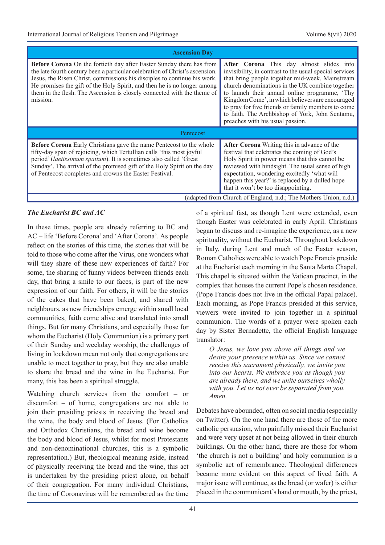| <b>Ascension Day</b>                                                                                                                                                                                                                                                                                                                                                                               |                                                                                                                                                                                                                                                                                                                                                                                                                                                                    |  |  |  |  |
|----------------------------------------------------------------------------------------------------------------------------------------------------------------------------------------------------------------------------------------------------------------------------------------------------------------------------------------------------------------------------------------------------|--------------------------------------------------------------------------------------------------------------------------------------------------------------------------------------------------------------------------------------------------------------------------------------------------------------------------------------------------------------------------------------------------------------------------------------------------------------------|--|--|--|--|
| Before Corona On the fortieth day after Easter Sunday there has from<br>the late fourth century been a particular celebration of Christ's ascension.<br>Jesus, the Risen Christ, commissions his disciples to continue his work.<br>He promises the gift of the Holy Spirit, and then he is no longer among<br>them in the flesh. The Ascension is closely connected with the theme of<br>mission. | <b>After Corona</b> This day almost slides into<br>invisibility, in contrast to the usual special services<br>that bring people together mid-week. Mainstream<br>church denominations in the UK combine together<br>to launch their annual online programme, 'Thy<br>Kingdom Come', in which believers are encouraged<br>to pray for five friends or family members to come<br>to faith. The Archbishop of York, John Sentamu,<br>preaches with his usual passion. |  |  |  |  |
| Pentecost                                                                                                                                                                                                                                                                                                                                                                                          |                                                                                                                                                                                                                                                                                                                                                                                                                                                                    |  |  |  |  |
| Before Corona Early Christians gave the name Pentecost to the whole<br>fifty-day span of rejoicing, which Tertullian calls 'this most joyful<br>period' (laetissimum spatium). It is sometimes also called 'Great<br>Sunday'. The arrival of the promised gift of the Holy Spirit on the day<br>of Pentecost completes and crowns the Easter Festival.                                             | After Corona Writing this in advance of the<br>festival that celebrates the coming of God's<br>Holy Spirit in power means that this cannot be<br>reviewed with hindsight. The usual sense of high<br>expectation, wondering excitedly 'what will<br>happen this year?' is replaced by a dulled hope<br>that it won't be too disappointing.                                                                                                                         |  |  |  |  |
|                                                                                                                                                                                                                                                                                                                                                                                                    | (adapted from Church of England, n.d.; The Mothers Union, n.d.)                                                                                                                                                                                                                                                                                                                                                                                                    |  |  |  |  |

### *The Eucharist BC and AC*

In these times, people are already referring to BC and AC – life 'Before Corona' and 'After Corona'. As people reflect on the stories of this time, the stories that will be told to those who come after the Virus, one wonders what will they share of these new experiences of faith? For some, the sharing of funny videos between friends each day, that bring a smile to our faces, is part of the new expression of our faith. For others, it will be the stories of the cakes that have been baked, and shared with neighbours, as new friendships emerge within small local communities, faith come alive and translated into small things. But for many Christians, and especially those for whom the Eucharist (Holy Communion) is a primary part of their Sunday and weekday worship, the challenges of living in lockdown mean not only that congregations are unable to meet together to pray, but they are also unable to share the bread and the wine in the Eucharist. For many, this has been a spiritual struggle.

Watching church services from the comfort – or discomfort – of home, congregations are not able to join their presiding priests in receiving the bread and the wine, the body and blood of Jesus. (For Catholics and Orthodox Christians, the bread and wine become the body and blood of Jesus, whilst for most Protestants and non-denominational churches, this is a symbolic representation.) But, theological meaning aside, instead of physically receiving the bread and the wine, this act is undertaken by the presiding priest alone, on behalf of their congregation. For many individual Christians, the time of Coronavirus will be remembered as the time

of a spiritual fast, as though Lent were extended, even though Easter was celebrated in early April. Christians began to discuss and re-imagine the experience, as a new spirituality, without the Eucharist. Throughout lockdown in Italy, during Lent and much of the Easter season, Roman Catholics were able to watch Pope Francis preside at the Eucharist each morning in the Santa Marta Chapel. This chapel is situated within the Vatican precinct, in the complex that houses the current Pope's chosen residence. (Pope Francis does not live in the official Papal palace). Each morning, as Pope Francis presided at this service, viewers were invited to join together in a spiritual communion. The words of a prayer were spoken each day by Sister Bernadette, the official English language translator:

*O Jesus, we love you above all things and we desire your presence within us. Since we cannot receive this sacrament physically, we invite you into our hearts. We embrace you as though you are already there, and we unite ourselves wholly with you. Let us not ever be separated from you. Amen.*

Debates have abounded, often on social media (especially on Twitter). On the one hand there are those of the more catholic persuasion, who painfully missed their Eucharist and were very upset at not being allowed in their church buildings. On the other hand, there are those for whom 'the church is not a building' and holy communion is a symbolic act of remembrance. Theological differences became more evident on this aspect of lived faith. A major issue will continue, as the bread (or wafer) is either placed in the communicant's hand or mouth, by the priest,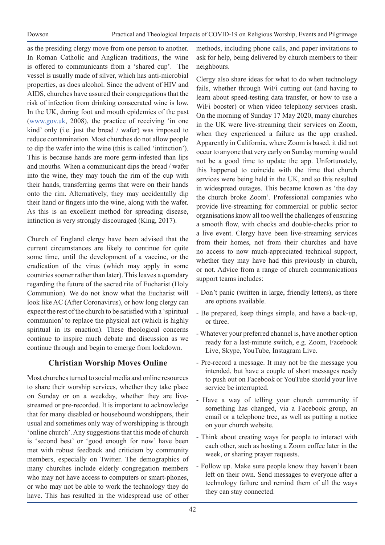as the presiding clergy move from one person to another. In Roman Catholic and Anglican traditions, the wine is offered to communicants from a 'shared cup'. The vessel is usually made of silver, which has anti-microbial properties, as does alcohol. Since the advent of HIV and AIDS, churches have assured their congregations that the risk of infection from drinking consecrated wine is low. In the UK, during foot and mouth epidemics of the past (www.gov.uk, 2008), the practice of receiving 'in one kind' only (i.e. just the bread / wafer) was imposed to reduce contamination. Most churches do not allow people to dip the wafer into the wine (this is called 'intinction'). This is because hands are more germ-infested than lips and mouths. When a communicant dips the bread / wafer into the wine, they may touch the rim of the cup with their hands, transferring germs that were on their hands onto the rim. Alternatively, they may accidentally dip their hand or fingers into the wine, along with the wafer. As this is an excellent method for spreading disease, intinction is very strongly discouraged (King, 2017).

Church of England clergy have been advised that the current circumstances are likely to continue for quite some time, until the development of a vaccine, or the eradication of the virus (which may apply in some countries sooner rather than later). This leaves a quandary regarding the future of the sacred rite of Eucharist (Holy Communion). We do not know what the Eucharist will look like AC (After Coronavirus), or how long clergy can expect the rest of the church to be satisfied with a 'spiritual communion' to replace the physical act (which is highly spiritual in its enaction). These theological concerns continue to inspire much debate and discussion as we continue through and begin to emerge from lockdown.

## **Christian Worship Moves Online**

Most churches turned to social media and online resources to share their worship services, whether they take place on Sunday or on a weekday, whether they are livestreamed or pre-recorded. It is important to acknowledge that for many disabled or housebound worshippers, their usual and sometimes only way of worshipping is through 'online church'. Any suggestions that this mode of church is 'second best' or 'good enough for now' have been met with robust feedback and criticism by community members, especially on Twitter. The demographics of many churches include elderly congregation members who may not have access to computers or smart-phones, or who may not be able to work the technology they do have. This has resulted in the widespread use of other methods, including phone calls, and paper invitations to ask for help, being delivered by church members to their neighbours.

Clergy also share ideas for what to do when technology fails, whether through WiFi cutting out (and having to learn about speed-testing data transfer, or how to use a WiFi booster) or when video telephony services crash. On the morning of Sunday 17 May 2020, many churches in the UK were live-streaming their services on Zoom, when they experienced a failure as the app crashed. Apparently in California, where Zoom is based, it did not occur to anyone that very early on Sunday morning would not be a good time to update the app. Unfortunately, this happened to coincide with the time that church services were being held in the UK, and so this resulted in widespread outages. This became known as 'the day the church broke Zoom'. Professional companies who provide live-streaming for commercial or public sector organisations know all too well the challenges of ensuring a smooth flow, with checks and double-checks prior to a live event. Clergy have been live-streaming services from their homes, not from their churches and have no access to now much-appreciated technical support, whether they may have had this previously in church, or not. Advice from a range of church communications support teams includes:

- Don't panic (written in large, friendly letters), as there are options available.
- Be prepared, keep things simple, and have a back-up, or three.
- Whatever your preferred channel is, have another option ready for a last-minute switch, e.g. Zoom, Facebook Live, Skype, YouTube, Instagram Live.
- Pre-record a message. It may not be the message you intended, but have a couple of short messages ready to push out on Facebook or YouTube should your live service be interrupted.
- Have a way of telling your church community if something has changed, via a Facebook group, an email or a telephone tree, as well as putting a notice on your church website.
- Think about creating ways for people to interact with each other, such as hosting a Zoom coffee later in the week, or sharing prayer requests.
- Follow up. Make sure people know they haven't been left on their own. Send messages to everyone after a technology failure and remind them of all the ways they can stay connected.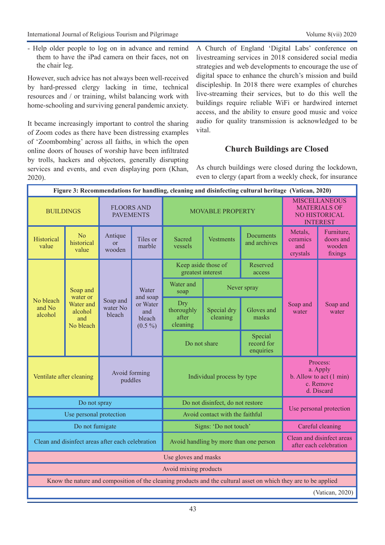- Help older people to log on in advance and remind them to have the iPad camera on their faces, not on the chair leg.

However, such advice has not always been well-received by hard-pressed clergy lacking in time, technical resources and / or training, whilst balancing work with home-schooling and surviving general pandemic anxiety.

It became increasingly important to control the sharing of Zoom codes as there have been distressing examples of 'Zoombombing' across all faiths, in which the open online doors of houses of worship have been infiltrated by trolls, hackers and objectors, generally disrupting services and events, and even displaying porn (Khan, 2020).

A Church of England 'Digital Labs' conference on livestreaming services in 2018 considered social media strategies and web developments to encourage the use of digital space to enhance the church's mission and build discipleship. In 2018 there were examples of churches live-streaming their services, but to do this well the buildings require reliable WiFi or hardwired internet access, and the ability to ensure good music and voice audio for quality transmission is acknowledged to be vital.

# **Church Buildings are Closed**

As church buildings were closed during the lockdown, even to clergy (apart from a weekly check, for insurance

| Figure 3: Recommendations for handling, cleaning and disinfecting cultural heritage (Vatican, 2020)             |                           |                                        |                                                                  |                                                                                      |                         |                                                                                 |                                        |                                              |
|-----------------------------------------------------------------------------------------------------------------|---------------------------|----------------------------------------|------------------------------------------------------------------|--------------------------------------------------------------------------------------|-------------------------|---------------------------------------------------------------------------------|----------------------------------------|----------------------------------------------|
| <b>BUILDINGS</b>                                                                                                |                           |                                        | <b>FLOORS AND</b><br><b>MOVABLE PROPERTY</b><br><b>PAVEMENTS</b> |                                                                                      |                         | <b>MISCELLANEOUS</b><br><b>MATERIALS OF</b><br>NO HISTORICAL<br><b>INTEREST</b> |                                        |                                              |
| Historical<br>value                                                                                             | No<br>historical<br>value | Antique<br>or<br>wooden                | Tiles or<br>marble                                               | Sacred<br>vessels                                                                    | <b>Vestments</b>        | <b>Documents</b><br>and archives                                                | Metals,<br>ceramics<br>and<br>crystals | Furniture,<br>doors and<br>wooden<br>fixings |
| Soap and<br>water or<br>No bleach<br>Water and<br>and No<br>alcohol<br>alcohol<br>and<br>No bleach              |                           |                                        |                                                                  | Keep aside those of<br>Reserved<br>greatest interest<br>access                       |                         |                                                                                 |                                        |                                              |
|                                                                                                                 |                           | Soap and<br>water No<br>bleach         | Water<br>and soap<br>or Water<br>and<br>bleach<br>$(0.5\%)$      | Water and<br>soap                                                                    |                         | Never spray                                                                     |                                        |                                              |
|                                                                                                                 |                           |                                        |                                                                  | Dry<br>thoroughly<br>after<br>cleaning                                               | Special dry<br>cleaning | Gloves and<br>masks                                                             | Soap and<br>water                      | Soap and<br>water                            |
|                                                                                                                 |                           |                                        |                                                                  | Special<br>Do not share<br>record for<br>enquiries                                   |                         |                                                                                 |                                        |                                              |
| Avoid forming<br>Ventilate after cleaning<br>puddles                                                            |                           | Individual process by type             |                                                                  | Process:<br>a. Apply<br>b. Allow to act $(1 \text{ min})$<br>c. Remove<br>d. Discard |                         |                                                                                 |                                        |                                              |
| Do not disinfect, do not restore<br>Do not spray                                                                |                           |                                        |                                                                  |                                                                                      |                         |                                                                                 |                                        |                                              |
| Use personal protection                                                                                         |                           | Avoid contact with the faithful        |                                                                  | Use personal protection                                                              |                         |                                                                                 |                                        |                                              |
| Do not fumigate<br>Signs: 'Do not touch'                                                                        |                           |                                        | Careful cleaning                                                 |                                                                                      |                         |                                                                                 |                                        |                                              |
| Clean and disinfect areas after each celebration                                                                |                           | Avoid handling by more than one person |                                                                  | Clean and disinfect areas<br>after each celebration                                  |                         |                                                                                 |                                        |                                              |
| Use gloves and masks                                                                                            |                           |                                        |                                                                  |                                                                                      |                         |                                                                                 |                                        |                                              |
| Avoid mixing products                                                                                           |                           |                                        |                                                                  |                                                                                      |                         |                                                                                 |                                        |                                              |
| Know the nature and composition of the cleaning products and the cultural asset on which they are to be applied |                           |                                        |                                                                  |                                                                                      |                         |                                                                                 |                                        |                                              |
| (Vatican, 2020)                                                                                                 |                           |                                        |                                                                  |                                                                                      |                         |                                                                                 |                                        |                                              |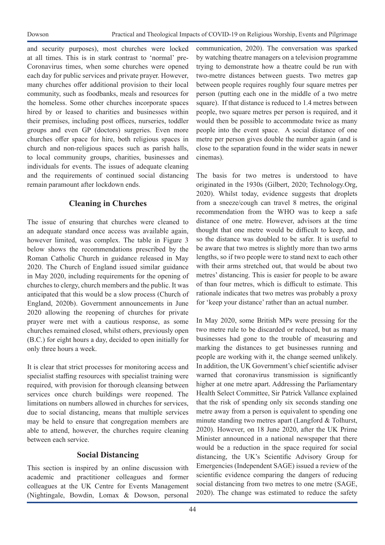and security purposes), most churches were locked at all times. This is in stark contrast to 'normal' pre-Coronavirus times, when some churches were opened each day for public services and private prayer. However, many churches offer additional provision to their local community, such as foodbanks, meals and resources for the homeless. Some other churches incorporate spaces hired by or leased to charities and businesses within their premises, including post offices, nurseries, toddler groups and even GP (doctors) surgeries. Even more churches offer space for hire, both religious spaces in church and non-religious spaces such as parish halls, to local community groups, charities, businesses and individuals for events. The issues of adequate cleaning and the requirements of continued social distancing remain paramount after lockdown ends.

# **Cleaning in Churches**

The issue of ensuring that churches were cleaned to an adequate standard once access was available again, however limited, was complex. The table in Figure 3 below shows the recommendations prescribed by the Roman Catholic Church in guidance released in May 2020. The Church of England issued similar guidance in May 2020, including requirements for the opening of churches to clergy, church members and the public. It was anticipated that this would be a slow process (Church of England, 2020b). Government announcements in June 2020 allowing the reopening of churches for private prayer were met with a cautious response, as some churches remained closed, whilst others, previously open (B.C.) for eight hours a day, decided to open initially for only three hours a week.

It is clear that strict processes for monitoring access and specialist staffing resources with specialist training were required, with provision for thorough cleansing between services once church buildings were reopened. The limitations on numbers allowed in churches for services, due to social distancing, means that multiple services may be held to ensure that congregation members are able to attend, however, the churches require cleaning between each service.

## **Social Distancing**

This section is inspired by an online discussion with academic and practitioner colleagues and former colleagues at the UK Centre for Events Management (Nightingale, Bowdin, Lomax & Dowson, personal

communication, 2020). The conversation was sparked by watching theatre managers on a television programme trying to demonstrate how a theatre could be run with two-metre distances between guests. Two metres gap between people requires roughly four square metres per person (putting each one in the middle of a two metre square). If that distance is reduced to 1.4 metres between people, two square metres per person is required, and it would then be possible to accommodate twice as many people into the event space. A social distance of one metre per person gives double the number again (and is close to the separation found in the wider seats in newer cinemas).

The basis for two metres is understood to have originated in the 1930s (Gilbert, 2020; Technology.Org, 2020). Whilst today, evidence suggests that droplets from a sneeze/cough can travel 8 metres, the original recommendation from the WHO was to keep a safe distance of one metre. However, advisors at the time thought that one metre would be difficult to keep, and so the distance was doubled to be safer. It is useful to be aware that two metres is slightly more than two arms lengths, so if two people were to stand next to each other with their arms stretched out, that would be about two metres' distancing. This is easier for people to be aware of than four metres, which is difficult to estimate. This rationale indicates that two metres was probably a proxy for 'keep your distance' rather than an actual number.

In May 2020, some British MPs were pressing for the two metre rule to be discarded or reduced, but as many businesses had gone to the trouble of measuring and marking the distances to get businesses running and people are working with it, the change seemed unlikely. In addition, the UK Government's chief scientific adviser warned that coronavirus transmission is significantly higher at one metre apart. Addressing the Parliamentary Health Select Committee, Sir Patrick Vallance explained that the risk of spending only six seconds standing one metre away from a person is equivalent to spending one minute standing two metres apart (Langford & Tolhurst, 2020). However, on 18 June 2020, after the UK Prime Minister announced in a national newspaper that there would be a reduction in the space required for social distancing, the UK's Scientific Advisory Group for Emergencies (Independent SAGE) issued a review of the scientific evidence comparing the dangers of reducing social distancing from two metres to one metre (SAGE, 2020). The change was estimated to reduce the safety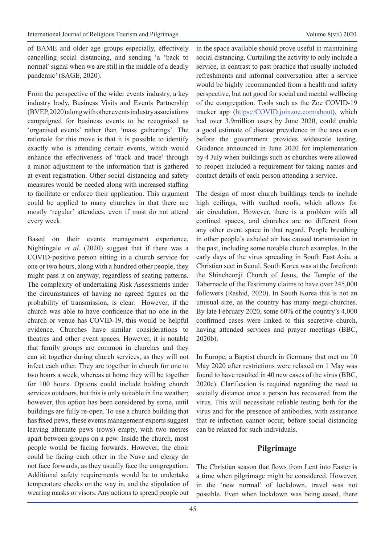of BAME and older age groups especially, effectively cancelling social distancing, and sending 'a 'back to normal' signal when we are still in the middle of a deadly pandemic' (SAGE, 2020).

From the perspective of the wider events industry, a key industry body, Business Visits and Events Partnership (BVEP, 2020) along with other events industry associations campaigned for business events to be recognised as 'organised events' rather than 'mass gatherings'. The rationale for this move is that it is possible to identify exactly who is attending certain events, which would enhance the effectiveness of 'track and trace' through a minor adjustment to the information that is gathered at event registration. Other social distancing and safety measures would be needed along with increased staffing to facilitate or enforce their application. This argument could be applied to many churches in that there are mostly 'regular' attendees, even if most do not attend every week.

Based on their events management experience, Nightingale *et al.* (2020) suggest that if there was a COVID-positive person sitting in a church service for one or two hours, along with a hundred other people, they might pass it on anyway, regardless of seating patterns. The complexity of undertaking Risk Assessments under the circumstances of having no agreed figures on the probability of transmission, is clear. However, if the church was able to have confidence that no one in the church or venue has COVID-19, this would be helpful evidence. Churches have similar considerations to theatres and other event spaces. However, it is notable that family groups are common in churches and they can sit together during church services, as they will not infect each other. They are together in church for one to two hours a week, whereas at home they will be together for 100 hours. Options could include holding church services outdoors, but this is only suitable in fine weather; however, this option has been considered by some, until buildings are fully re-open. To use a church building that has fixed pews, these events management experts suggest leaving alternate pews (rows) empty, with two metres apart between groups on a pew. Inside the church, most people would be facing forwards. However, the choir could be facing each other in the Nave and clergy do not face forwards, as they usually face the congregation. Additional safety requirements would be to undertake temperature checks on the way in, and the stipulation of wearing masks or visors. Any actions to spread people out

in the space available should prove useful in maintaining social distancing. Curtailing the activity to only include a service, in contrast to past practice that usually included refreshments and informal conversation after a service would be highly recommended from a health and safety perspective, but not good for social and mental wellbeing of the congregation. Tools such as the Zoe COVID-19 tracker app (https://COVID.joinzoe.com/about), which had over 3.9million users by June 2020, could enable a good estimate of disease prevalence in the area even before the government provides widescale testing. Guidance announced in June 2020 for implementation by 4 July when buildings such as churches were allowed to reopen included a requirement for taking names and contact details of each person attending a service.

The design of most church buildings tends to include high ceilings, with vaulted roofs, which allows for air circulation. However, there is a problem with all confined spaces, and churches are no different from any other event space in that regard. People breathing in other people's exhaled air has caused transmission in the past, including some notable church examples. In the early days of the virus spreading in South East Asia, a Christian sect in Seoul, South Korea was at the forefront: the Shincheonji Church of Jesus, the Temple of the Tabernacle of the Testimony claims to have over 245,000 followers (Rashid, 2020). In South Korea this is not an unusual size, as the country has many mega-churches. By late February 2020, some 60% of the country's 4,000 confirmed cases were linked to this secretive church, having attended services and prayer meetings (BBC, 2020b).

In Europe, a Baptist church in Germany that met on 10 May 2020 after restrictions were relaxed on 1 May was found to have resulted in 40 new cases of the virus (BBC, 2020c). Clarification is required regarding the need to socially distance once a person has recovered from the virus. This will necessitate reliable testing both for the virus and for the presence of antibodies, with assurance that re-infection cannot occur, before social distancing can be relaxed for such individuals.

## **Pilgrimage**

The Christian season that flows from Lent into Easter is a time when pilgrimage might be considered. However, in the 'new normal' of lockdown, travel was not possible. Even when lockdown was being eased, there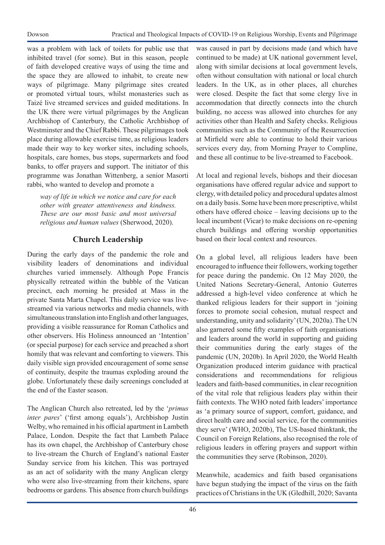was a problem with lack of toilets for public use that inhibited travel (for some). But in this season, people of faith developed creative ways of using the time and the space they are allowed to inhabit, to create new ways of pilgrimage. Many pilgrimage sites created or promoted virtual tours, whilst monasteries such as Taizé live streamed services and guided meditations. In the UK there were virtual pilgrimages by the Anglican Archbishop of Canterbury, the Catholic Archbishop of Westminster and the Chief Rabbi. These pilgrimages took place during allowable exercise time, as religious leaders made their way to key worker sites, including schools, hospitals, care homes, bus stops, supermarkets and food banks, to offer prayers and support. The initiator of this programme was Jonathan Wittenberg, a senior Masorti rabbi, who wanted to develop and promote a

*way of life in which we notice and care for each other with greater attentiveness and kindness. These are our most basic and most universal religious and human values* (Sherwood, 2020).

## **Church Leadership**

During the early days of the pandemic the role and visibility leaders of denominations and individual churches varied immensely. Although Pope Francis physically retreated within the bubble of the Vatican precinct, each morning he presided at Mass in the private Santa Marta Chapel. This daily service was livestreamed via various networks and media channels, with simultaneous translation into English and other languages, providing a visible reassurance for Roman Catholics and other observers. His Holiness announced an 'Intention' (or special purpose) for each service and preached a short homily that was relevant and comforting to viewers. This daily visible sign provided encouragement of some sense of continuity, despite the traumas exploding around the globe. Unfortunately these daily screenings concluded at the end of the Easter season.

The Anglican Church also retreated, led by the '*primus inter pares*' ('first among equals'), Archbishop Justin Welby, who remained in his official apartment in Lambeth Palace, London. Despite the fact that Lambeth Palace has its own chapel, the Archbishop of Canterbury chose to live-stream the Church of England's national Easter Sunday service from his kitchen. This was portrayed as an act of solidarity with the many Anglican clergy who were also live-streaming from their kitchens, spare bedrooms or gardens. This absence from church buildings

was caused in part by decisions made (and which have continued to be made) at UK national government level, along with similar decisions at local government levels, often without consultation with national or local church leaders. In the UK, as in other places, all churches were closed. Despite the fact that some clergy live in accommodation that directly connects into the church building, no access was allowed into churches for any activities other than Health and Safety checks. Religious communities such as the Community of the Resurrection at Mirfield were able to continue to hold their various services every day, from Morning Prayer to Compline, and these all continue to be live-streamed to Facebook.

At local and regional levels, bishops and their diocesan organisations have offered regular advice and support to clergy, with detailed policy and procedural updates almost on a daily basis. Some have been more prescriptive, whilst others have offered choice – leaving decisions up to the local incumbent (Vicar) to make decisions on re-opening church buildings and offering worship opportunities based on their local context and resources.

On a global level, all religious leaders have been encouraged to influence their followers, working together for peace during the pandemic. On 12 May 2020, the United Nations Secretary-General, Antonio Guterres addressed a high-level video conference at which he thanked religious leaders for their support in 'joining forces to promote social cohesion, mutual respect and understanding, unity and solidarity' (UN, 2020a). The UN also garnered some fifty examples of faith organisations and leaders around the world in supporting and guiding their communities during the early stages of the pandemic (UN, 2020b). In April 2020, the World Health Organization produced interim guidance with practical considerations and recommendations for religious leaders and faith-based communities, in clear recognition of the vital role that religious leaders play within their faith contexts. The WHO noted faith leaders' importance as 'a primary source of support, comfort, guidance, and direct health care and social service, for the communities they serve' (WHO, 2020b), The US-based thinktank, the Council on Foreign Relations, also recognised the role of religious leaders in offering prayers and support within the communities they serve (Robinson, 2020).

Meanwhile, academics and faith based organisations have begun studying the impact of the virus on the faith practices of Christians in the UK (Gledhill, 2020; Savanta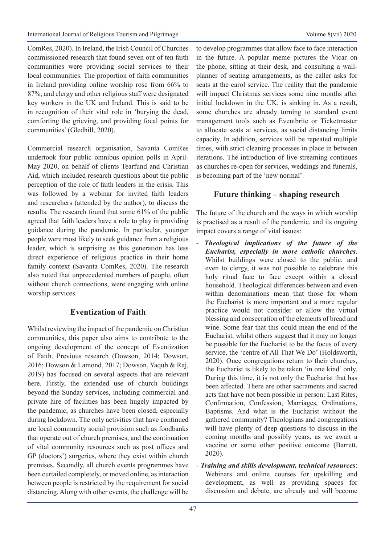ComRes, 2020). In Ireland, the Irish Council of Churches commissioned research that found seven out of ten faith communities were providing social services to their local communities. The proportion of faith communities in Ireland providing online worship rose from 66% to

87%, and clergy and other religious staff were designated key workers in the UK and Ireland. This is said to be in recognition of their vital role in 'burying the dead, comforting the grieving, and providing focal points for communities' (Gledhill, 2020).

Commercial research organisation, Savanta ComRes undertook four public omnibus opinion polls in April-May 2020, on behalf of clients Tearfund and Christian Aid, which included research questions about the public perception of the role of faith leaders in the crisis. This was followed by a webinar for invited faith leaders and researchers (attended by the author), to discuss the results. The research found that some 61% of the public agreed that faith leaders have a role to play in providing guidance during the pandemic. In particular, younger people were most likely to seek guidance from a religious leader, which is surprising as this generation has less direct experience of religious practice in their home family context (Savanta ComRes, 2020). The research also noted that unprecedented numbers of people, often without church connections, were engaging with online worship services.

# **Eventization of Faith**

Whilst reviewing the impact of the pandemic on Christian communities, this paper also aims to contribute to the ongoing development of the concept of Eventization of Faith. Previous research (Dowson, 2014; Dowson, 2016; Dowson & Lamond, 2017; Dowson, Yaqub & Raj, 2019) has focused on several aspects that are relevant here. Firstly, the extended use of church buildings beyond the Sunday services, including commercial and private hire of facilities has been hugely impacted by the pandemic, as churches have been closed, especially during lockdown. The only activities that have continued are local community social provision such as foodbanks that operate out of church premises, and the continuation of vital community resources such as post offices and GP (doctors') surgeries, where they exist within church premises. Secondly, all church events programmes have been curtailed completely, or moved online, as interaction between people is restricted by the requirement for social distancing. Along with other events, the challenge will be

to develop programmes that allow face to face interaction in the future. A popular meme pictures the Vicar on the phone, sitting at their desk, and consulting a wallplanner of seating arrangements, as the caller asks for seats at the carol service. The reality that the pandemic will impact Christmas services some nine months after initial lockdown in the UK, is sinking in. As a result, some churches are already turning to standard event management tools such as Eventbrite or Ticketmaster to allocate seats at services, as social distancing limits capacity. In addition, services will be repeated multiple times, with strict cleaning processes in place in between iterations. The introduction of live-streaming continues as churches re-open for services, weddings and funerals, is becoming part of the 'new normal'.

# **Future thinking – shaping research**

The future of the church and the ways in which worship is practised as a result of the pandemic, and its ongoing impact covers a range of vital issues:

- *Theological implications of the future of the Eucharist, especially in more catholic churches*. Whilst buildings were closed to the public, and even to clergy, it was not possible to celebrate this holy ritual face to face except within a closed household. Theological differences between and even within denominations mean that those for whom the Eucharist is more important and a more regular practice would not consider or allow the virtual blessing and consecration of the elements of bread and wine. Some fear that this could mean the end of the Eucharist, whilst others suggest that it may no longer be possible for the Eucharist to be the focus of every service, the 'centre of All That We Do' (Holdsworth, 2020). Once congregations return to their churches, the Eucharist is likely to be taken 'in one kind' only. During this time, it is not only the Eucharist that has been affected. There are other sacraments and sacred acts that have not been possible in person: Last Rites, Confirmation, Confession, Marriages, Ordinations, Baptisms. And what is the Eucharist without the gathered community? Theologians and congregations will have plenty of deep questions to discuss in the coming months and possibly years, as we await a vaccine or some other positive outcome (Barrett, 2020).
- *Training and skills development, technical resources*: Webinars and online courses for upskilling and development, as well as providing spaces for discussion and debate, are already and will become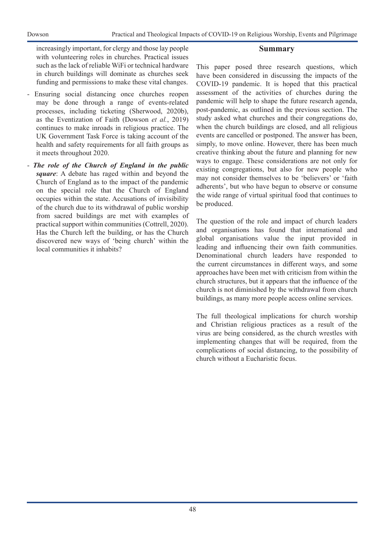increasingly important, for clergy and those lay people with volunteering roles in churches. Practical issues such as the lack of reliable WiFi or technical hardware in church buildings will dominate as churches seek funding and permissions to make these vital changes.

- Ensuring social distancing once churches reopen may be done through a range of events-related processes, including ticketing (Sherwood, 2020b), as the Eventization of Faith (Dowson *et al.*, 2019) continues to make inroads in religious practice. The UK Government Task Force is taking account of the health and safety requirements for all faith groups as it meets throughout 2020.
- *The role of the Church of England in the public square*: A debate has raged within and beyond the Church of England as to the impact of the pandemic on the special role that the Church of England occupies within the state. Accusations of invisibility of the church due to its withdrawal of public worship from sacred buildings are met with examples of practical support within communities (Cottrell, 2020). Has the Church left the building, or has the Church discovered new ways of 'being church' within the local communities it inhabits?

This paper posed three research questions, which have been considered in discussing the impacts of the COVID-19 pandemic. It is hoped that this practical assessment of the activities of churches during the pandemic will help to shape the future research agenda, post-pandemic, as outlined in the previous section. The study asked what churches and their congregations do, when the church buildings are closed, and all religious events are cancelled or postponed. The answer has been, simply, to move online. However, there has been much creative thinking about the future and planning for new ways to engage. These considerations are not only for existing congregations, but also for new people who may not consider themselves to be 'believers' or 'faith adherents', but who have begun to observe or consume the wide range of virtual spiritual food that continues to be produced.

**Summary**

The question of the role and impact of church leaders and organisations has found that international and global organisations value the input provided in leading and influencing their own faith communities. Denominational church leaders have responded to the current circumstances in different ways, and some approaches have been met with criticism from within the church structures, but it appears that the influence of the church is not diminished by the withdrawal from church buildings, as many more people access online services.

The full theological implications for church worship and Christian religious practices as a result of the virus are being considered, as the church wrestles with implementing changes that will be required, from the complications of social distancing, to the possibility of church without a Eucharistic focus.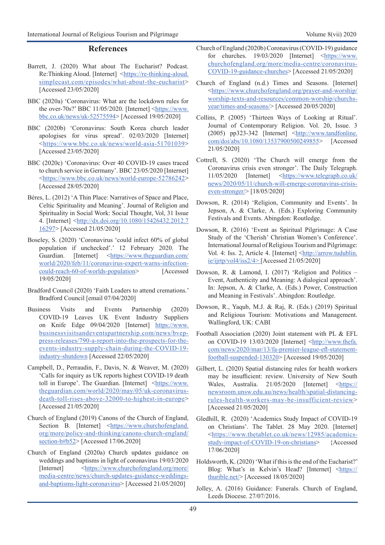#### **References**

- Barrett, J. (2020) What about The Eucharist? Podcast. Re:Thinking Aloud. [Internet] <https://re-thinking-aloud. simplecast.com/episodes/what-about-the-eucharist> [Accessed 23/05/2020]
- BBC (2020a) 'Coronavirus: What are the lockdown rules for the over-70s?' BBC 11/05/2020. [Internet] <https://www. bbc.co.uk/news/uk-52575594> [Accessed 19/05/2020]
- BBC (2020b) 'Coronavirus: South Korea church leader apologises for virus spread'. 02/03/2020 [Internet] <https://www.bbc.co.uk/news/world-asia-51701039> [Accessed 23/05/2020]
- BBC (2020c) 'Coronavirus: Over 40 COVID-19 cases traced to church service in Germany'. BBC 23/05/2020 [Internet] <https://www.bbc.co.uk/news/world-europe-52786242> [Accessed 28/05/2020]
- Béres, L. (2012) 'A Thin Place: Narratives of Space and Place, Celtic Spirituality and Meaning'. Journal of Religion and Spirituality in Social Work: Social Thought, Vol, 31 Issue 4. [Internet] <http://dx.doi.org/10.1080/15426432.2012.7 16297> [Accessed 21/05/2020]
- Boseley, S. (2020) 'Coronavirus 'could infect 60% of global population if unchecked'.' 12 February 2020. The Guardian. [Internet] <https://www.theguardian.com/ world/2020/feb/11/coronavirus-expert-warns-infectioncould-reach-60-of-worlds-population> [Accessed 19/05/2020]
- Bradford Council (2020) 'Faith Leaders to attend cremations.' Bradford Council [email 07/04/2020]
- Business Visits and Events Partnership (2020) COVID-19 Leaves UK Event Industry Suppliers on Knife Edge 09/04/2020 [Internet] https://www. businessvisitsandeventspartnership.com/news/bveppress-releases/790-a-report-into-the-prospects-for-theevents-industry-supply-chain-during-the-COVID-19 industry-shutdown [Accessed 22/05/2020]
- Campbell, D., Perraudin, F., Davis, N. & Weaver, M. (2020) 'Calls for inquiry as UK reports highest COVID-19 death toll in Europe'. The Guardian. [Internet] <https://www. theguardian.com/world/2020/may/05/uk-coronavirusdeath-toll-rises-above-32000-to-highest-in-europe> [Accessed 21/05/2020]
- Church of England (2019) Canons of the Church of England, Section B. [Internet] <https://www.churchofengland. org/more/policy-and-thinking/canons-church-england/ section-b#b52> [Accessed 17/06.2020]
- Church of England (2020a) Church updates guidance on weddings and baptisms in light of coronavirus 19/03/2020 [Internet]  $\langle \frac{https://www.churchofengland.org/more/}{https://www.churchofengland.org/more/}$ media-centre/news/church-updates-guidance-weddingsand-baptisms-light-coronavirus> [Accessed 21/05/2020]
- Church of England (2020b) Coronavirus (COVID-19) guidance for churches. 19/03/2020 [Internet] <https://www. churchofengland.org/more/media-centre/coronavirus-COVID-19-guidance-churches> [Accessed 21/05/2020]
- Church of England (n.d.) Times and Seasons. [Internet] <https://www.churchofengland.org/prayer-and-worship/ worship-texts-and-resources/common-worship/churchsyear/times-and-seasons/> [Accessed 20/05/2020]
- Collins, P. (2005) 'Thirteen Ways of Looking at Ritual'. Journal of Contemporary Religion. Vol. 20, Issue. 3 (2005) pp323-342 [Internet] <http://www.tandfonline. com/doi/abs/10.1080/13537900500249855> [Accessed 21/05/2020]
- Cottrell, S. (2020) 'The Church will emerge from the Coronavirus crisis even stronger'. The Daily Telegraph. 11/05/2020 [Internet] <https://www.telegraph.co.uk/ news/2020/05/11/church-will-emerge-coronavirus-crisiseven-stronger/> [18/05/2020]
- Dowson, R. (2014) 'Religion, Community and Events'. In Jepson, A. & Clarke, A. (Eds.) Exploring Community Festivals and Events. Abingdon: Routledge.
- Dowson, R. (2016) 'Event as Spiritual Pilgrimage: A Case Study of the 'Cherish' Christian Women's Conference'. International Journal of Religious Tourism and Pilgrimage: Vol. 4: Iss. 2, Article 4. [Internet] <http://arrow.tudublin. ie/ijrtp/vol4/iss2/4> [Accessed 21/05/2020]
- Dowson, R. & Lamond, I. (2017) 'Religion and Politics Event, Authenticity and Meaning: A dialogical approach'. In: Jepson, A. & Clarke, A. (Eds.) Power, Construction and Meaning in Festivals'. Abingdon: Routledge.
- Dowson, R., Yaqub, M.J. & Raj, R. (Eds.) (2019) Spiritual and Religious Tourism: Motivations and Management. Wallingford, UK: CABI
- Football Association (2020) Joint statement with PL & EFL on COVID-19 13/03/2020 [Internet] <http://www.thefa. com/news/2020/mar/13/fa-premier-league-efl-statementfootball-suspended-130320> [Accessed 19/05/2020]
- Gilbert, L. (2020) Spatial distancing rules for health workers may be insufficient: review. University of New South Wales, Australia. 21/05/2020 [Internet] <https:// newsroom.unsw.edu.au/news/health/spatial-distancingrules-health-workers-may-be-insufficient-review> [Accessed 21/05/2020]
- Gledhill, R. (2020) 'Academics Study Impact of COVID-19 on Christians'. The Tablet. 28 May 2020. [Internet] <https://www.thetablet.co.uk/news/12985/academicsstudy-impact-of-COVID-19-on-christians> {Accessed 17/06/2020]
- Holdsworth, K. (2020) 'What if this is the end of the Eucharist?' Blog: What's in Kelvin's Head? [Internet] <https:// thurible.net/> [Accessed 18/05/2020]
- Jolley, A. (2016) Guidance: Funerals. Church of England, Leeds Diocese. 27/07/2016.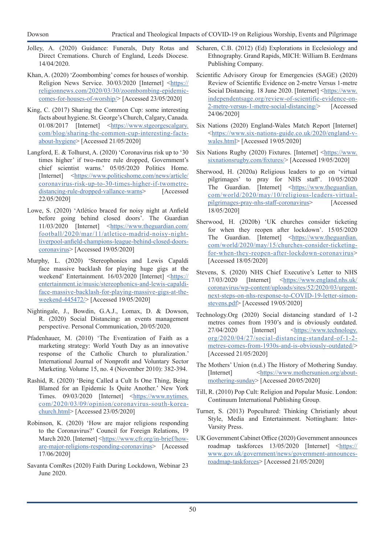- Jolley, A. (2020) Guidance: Funerals, Duty Rotas and Direct Cremations. Church of England, Leeds Diocese. 14/04/2020.
- Khan, A. (2020) 'Zoombombing' comes for houses of worship. Religion News Service. 30/03/2020 [Internet] <https:// religionnews.com/2020/03/30/zoombombing-epidemiccomes-for-houses-of-worship/> [Accessed 23/05/2020]
- King, C. (2017) Sharing the Common Cup: some interesting facts about hygiene. St. George's Church, Calgary, Canada. 01/08/2017 [Internet] <https://www.stgeorgescalgary. com/blog/sharing-the-common-cup-interesting-factsabout-hygiene> [Accessed 21/05/2020]
- Langford, E. & Tolhurst, A. (2020) 'Coronavirus risk up to '30 times higher' if two-metre rule dropped, Government's chief scientist warns.' 05/05/2020 Politics Home. [Internet] <https://www.politicshome.com/news/article/ coronavirus-risk-up-to-30-times-higher-if-twometredistancing-rule-dropped-vallance-warns> [Accessed 22/05/2020]
- Lowe, S. (2020) 'Atlético braced for noisy night at Anfield before going behind closed doors'. The Guardian 11/03/2020 [Internet] <https://www.theguardian.com/ football/2020/mar/11/atletico-madrid-noisy-nightliverpool-anfield-champions-league-behind-closed-doorscoronavirus> [Accessed 19/05/2020]
- Murphy, L. (2020) 'Stereophonics and Lewis Capaldi face massive backlash for playing huge gigs at the weekend' Entertainment. 16/03/2020 [Internet] <https:// entertainment.ie/music/stereophonics-and-lewis-capaldiface-massive-backlash-for-playing-massive-gigs-at-theweekend-445472/> [Accessed 19/05/2020]
- Nightingale, J., Bowdin, G.A.J., Lomax, D. & Dowson, R. (2020) Social Distancing: an events management perspective. Personal Communication, 20/05/2020.
- Pfadenhauer, M. (2010) 'The Eventization of Faith as a marketing strategy: World Youth Day as an innovative response of the Catholic Church to pluralization.' International Journal of Nonprofit and Voluntary Sector Marketing. Volume 15, no. 4 (November 2010): 382-394.
- Rashid, R. (2020) 'Being Called a Cult Is One Thing, Being Blamed for an Epidemic Is Quite Another.' New York Times. 09/03/2020 [Internet] <https://www.nytimes. com/2020/03/09/opinion/coronavirus-south-koreachurch.html> [Accessed 23/05/2020]
- Robinson, K. (2020) 'How are major religions responding to the Coronavirus?' Council for Foreign Relations, 19 March 2020. [Internet] <https://www.cfr.org/in-brief/howare-major-religions-responding-coronavirus> [Accessed 17/06/2020]
- Savanta ComRes (2020) Faith During Lockdown, Webinar 23 June 2020.
- Scharen, C.B. (2012) (Ed) Explorations in Ecclesiology and Ethnography. Grand Rapids, MICH: William B. Eerdmans Publishing Company.
- Scientific Advisory Group for Emergencies (SAGE) (2020) Review of Scientific Evidence on 2-metre Versus 1-metre Social Distancing. 18 June 2020. [Internet] <https://www. independentsage.org/review-of-scientific-evidence-on-2-metre-versus-1-metre-social-distancing/> [Accessed 24/06/2020]
- Six Nations (2020) England-Wales Match Report [Internet] <https://www.six-nations-guide.co.uk/2020/england-vwales.html> [Accessed 19/05/2020]
- Six Nations Rugby (2020) Fixtures. [Internet] <https://www. sixnationsrugby.com/fixtures/> [Accessed 19/05/2020]
- Sherwood, H. (2020a) Religious leaders to go on 'virtual pilgrimages' to pray for NHS staff'. 10/05/2020 The Guardian. [Internet] <https://www.theguardian. com/world/2020/may/10/religious-leaders-virtualpilgrimages-pray-nhs-staff-coronavirus> [Accessed 18/05/2020]
- Sherwood, H. (2020b) 'UK churches consider ticketing for when they reopen after lockdown'. 15/05/2020 The Guardian. [Internet] <https://www.theguardian. com/world/2020/may/15/churches-consider-ticketingfor-when-they-reopen-after-lockdown-coronavirus> [Accessed 18/05/2020]
- Stevens, S. (2020) NHS Chief Executive's Letter to NHS 17/03/2020 [Internet] <https://www.england.nhs.uk/ coronavirus/wp-content/uploads/sites/52/2020/03/urgentnext-steps-on-nhs-response-to-COVID-19-letter-simonstevens.pdf> [Accessed 19/05/2020]
- Technology.Org (2020) Social distancing standard of 1-2 metres comes from 1930's and is obviously outdated. 27/04/2020 [Internet] <https://www.technology. org/2020/04/27/social-distancing-standard-of-1-2 metres-comes-from-1930s-and-is-obviously-outdated/> [Accessed 21/05/2020]
- The Mothers' Union (n.d.) The History of Mothering Sunday. [Internet]  $\langle \frac{https://www.mothersunion.org/about-1}{https://www.mothersunion.org/about-1} \rangle$ mothering-sunday> [Accessed 20/05/2020]
- Till, R. (2010) Pop Cult: Religion and Popular Music. London: Continuum International Publishing Group.
- Turner, S. (2013) Popcultured: Thinking Christianly about Style, Media and Entertainment. Nottingham: Inter-Varsity Press.
- UK Government Cabinet Office (2020) Government announces roadmap taskforces 13/05/2020 [Internet] <https:// www.gov.uk/government/news/government-announcesroadmap-taskforces> [Accessed 21/05/2020]